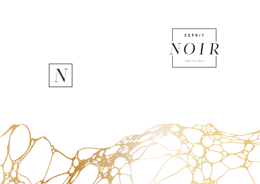



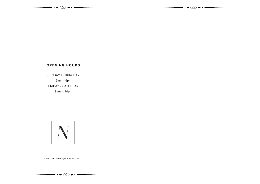



# **OPENING HOURS**

SUNDAY / THURSDAY

9am – 6pm

FRIDAY / SATURDAY

9am – 10pm



*\*Credit card surcharge applies 1.3%*

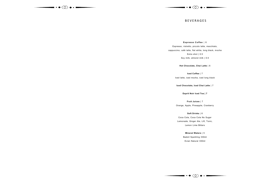

 $\overline{\phantom{a}}\cdots$ 

### **BEVERAGES**

**Espresso Coffee** | 6

Espresso, ristretto, piccolo latte, macchiato, cappuccino, café latte, flat white, long black, mocha Extra shot | 0.5 Soy milk, almond milk | 0.5

**Hot Chocolate, Chai Latte** | 6

**Iced Coffee** | 7 Iced latte, iced mocha, iced long black

**Iced Chocolate, Iced Chai Latte** | 7

**Esprit Noir Iced Tea | 7**

**Fruit Juices** | 7

Orange, Apple, Pineapple, Cranberry

**Soft Drinks** | 6 Coca Cola, Coca Cola No Sugar

Lemonade, Ginger Ale, Lift, Tonic, Lemon Lime Bitters

> **Mineral Waters** | 5 Badoit Sparkling 330ml Evian Natural 330ml

 $\overbrace{\hspace{1.5cm}}\cdot\bullet\otimes\bullet\cdot\overbrace{\hspace{1.5cm}}$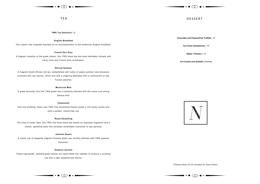# $\overline{\phantom{a}}\cdot\bullet$  (8)  $\bullet$

T E A DE S SER T

**TWG Tea Selection** | 6

#### **English Breakfast**

This classic was originally blended as an accompaniment to the traditional English breakfast.

#### **French Earl Grey**

A fragrant variation of the great classic, this TWG black tea has been delicately infused with citrus fruits and French blue cornflowers.

#### **Eternal Summer**

A fragrant South African red tea, embellished with notes of sweet summer rose blossoms accented with raw berries, which end with a lingering aftertaste that is reminiscent of ripe Tuscan peaches.

#### **Moroccan Mint**

A great favourite, this fine TWG green tea is perfectly blended with the suave and strong Sahara mint.

#### **Chamomile**

Soft and soothing, these rare TWG Tea chamomile flowers boast a rich honey aroma and yield a golden, theine-free cup.

#### **Royal Darjeeling**

The king of Indian teas, this TWG first flush black tea boasts an exquisite fragrance and a vibrant, sparkling taste that develops remarkable overtones of ripe apricots.

### **Jasmine Queen**

A suave cup of elegantly fragrant Chinese green tea, lavishly blended with TWG jasmine blossoms.

#### **Emperor Sencha**

These high-grade, emerald-green leaves are hand-rolled into needles to produce a soothing cup with a light seaweed-like flavour.

**Chocolate and Passionfruit Truffles** | 12

**Ice Cream Sandwiches** | 10

**Atelier Tiramisu** | 14

**Ice Creams and Sorbets** | 6/scoop



*\*Please allow 20-30 minutes for food orders.*



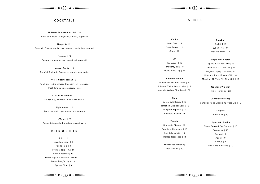

COCKTAILS SPIRITS

**Noisette Espresso Martini** | 20 Ketel one vodka, frangelico, kahlua, espresso

**Margarita |** 21 Don Julio Blanco tequila, dry cura**ç**ao, fresh lime, sea salt

> **Negroni** | 21 Campari, tanqueray gin, sweet red vermouth

**Aperol Spritz |** 16 Serafini & Vidotto Prosecco, aperol, soda water

**Violet Cosmopolitan |** 21 Ketel one vodka infused blueberry, dry cura**ç**ao, fresh lime juice, cranberry juice

**V.S Old Fashioned |** 21 Martell VS, amaretto, Australian bitters

**Lighthouse** | 21 Dark rum and cigar infused Montenegro

**L'Esprit** | 22 Coconut-fat-washed bourbon, spiced syrup

## BEER & CIDER

Kirin | 11 Lovedale Lager | 9 Paddo Pale | 9 Pyrmont Rye IPA | 11 Hahn SuperDry | 10 James Squire One Fifty Lashes | 11 James Boag's Light | 10 Sydney Cider | 9

 $- \cdot \bullet \otimes \bullet \cdot \textcolor{red}{-}$ 

 $\overline{\phantom{a}\cdots}$ 

**Vodka** Ketel One | 10 Grey Goose | 12 Ciroc | 13

**Gin** Tanqueray | 10 Tanqueray Ten | 14 Archie Rose Dry | 11

**Blended Scotch** Johnnie Walker Red Label | 10 Johnnie Walker Black Label | 11 Johnnie Walker Blue Label | 35

**Rum** Cargo Cult Spiced | 10 Plantation Original Dark | 10 Pampero Especial | 10 Pampero Blanco |10

**Tequila** Don Julio Blanco | 12 Don Julio Reposado | 13 Don Julio Anejo | 15 Tromba Reposado | 11

> **Tennessee Whiskey** Jack Daniels | 10

**Bourbon**

Bulleit | 10 Bulleit Rye | 11 Maker's Mark | 10

**Single Malt Scotch**

Lagavulin 16 Year Old | 20 Glenfiddich 12 Year Old | 12 Singleton Spey Cascade | 12 Highland Park 12 Year Old | 14 Macallan 12 Year Old Fine Oak | 19

> **Japanese Whiskey** Hibiki Harmony | 22

**Canadian Whiskey** Canadian Club Classic 12 Year Old | 10

#### **Cognac**

Martell VS | 10

**Liquers & Libation**

Pierre Ferrand Dry Curacao | 10 Frangelico | 10 Campari | 9 Aperol | 9 Kahlua | 9

Disaronno Amaretto | 10